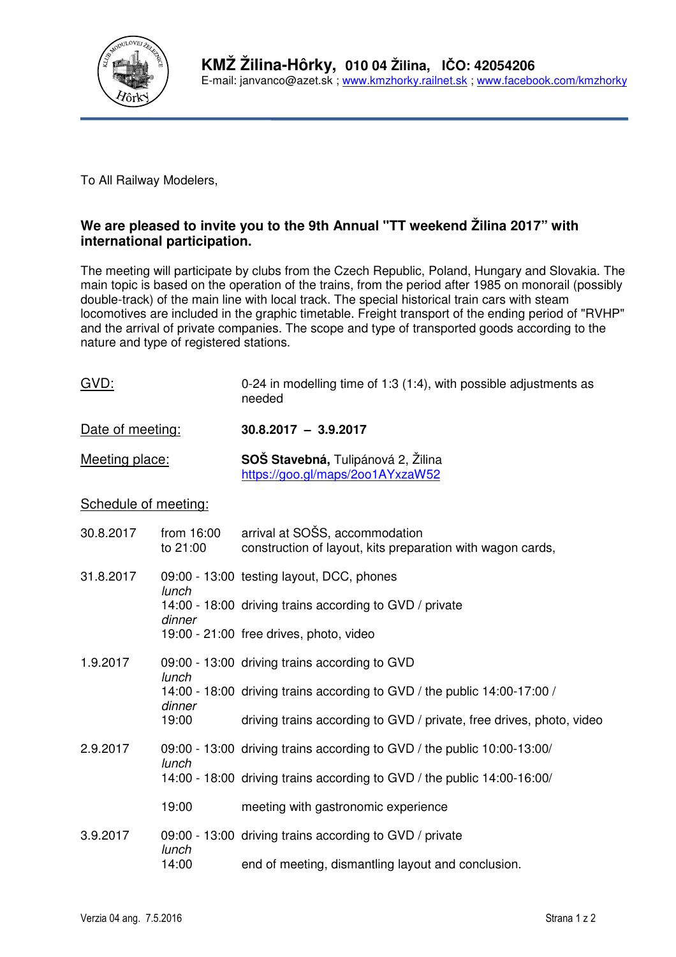

To All Railway Modelers,

## **We are pleased to invite you to the 9th Annual "TT weekend Žilina 2017" with international participation.**

The meeting will participate by clubs from the Czech Republic, Poland, Hungary and Slovakia. The main topic is based on the operation of the trains, from the period after 1985 on monorail (possibly double-track) of the main line with local track. The special historical train cars with steam locomotives are included in the graphic timetable. Freight transport of the ending period of "RVHP" and the arrival of private companies. The scope and type of transported goods according to the nature and type of registered stations.

| GVD:                 |                        | 0-24 in modelling time of 1:3 (1:4), with possible adjustments as<br>needed                  |  |
|----------------------|------------------------|----------------------------------------------------------------------------------------------|--|
| Date of meeting:     |                        | $30.8,2017 - 3.9,2017$                                                                       |  |
| Meeting place:       |                        | <b>SOŠ Stavebná, Tulipánová 2, Žilina</b><br>https://goo.gl/maps/2oo1AYxzaW52                |  |
| Schedule of meeting: |                        |                                                                                              |  |
| 30.8.2017            | from 16:00<br>to 21:00 | arrival at SOSS, accommodation<br>construction of layout, kits preparation with wagon cards, |  |
| 31 8 2017            |                        | $09:00 - 13:00$ testing lavout DCC phones                                                    |  |

| 31.8.2017 | lunch  | 09:00 - 13:00 testing layout, DCC, phones                                |
|-----------|--------|--------------------------------------------------------------------------|
|           | dinner | 14:00 - 18:00 driving trains according to GVD / private                  |
|           |        | 19:00 - 21:00 free drives, photo, video                                  |
| 1.9.2017  | lunch  | 09:00 - 13:00 driving trains according to GVD                            |
|           | dinner | 14:00 - 18:00 driving trains according to GVD / the public 14:00-17:00 / |
|           | 19:00  | driving trains according to GVD / private, free drives, photo, video     |
| 2.9.2017  | lunch  | 09:00 - 13:00 driving trains according to GVD / the public 10:00-13:00/  |
|           |        | 14:00 - 18:00 driving trains according to GVD / the public 14:00-16:00/  |
|           | 19:00  | meeting with gastronomic experience                                      |
| 3.9.2017  | lunch  | 09:00 - 13:00 driving trains according to GVD / private                  |
|           | 14:00  | end of meeting, dismantling layout and conclusion.                       |